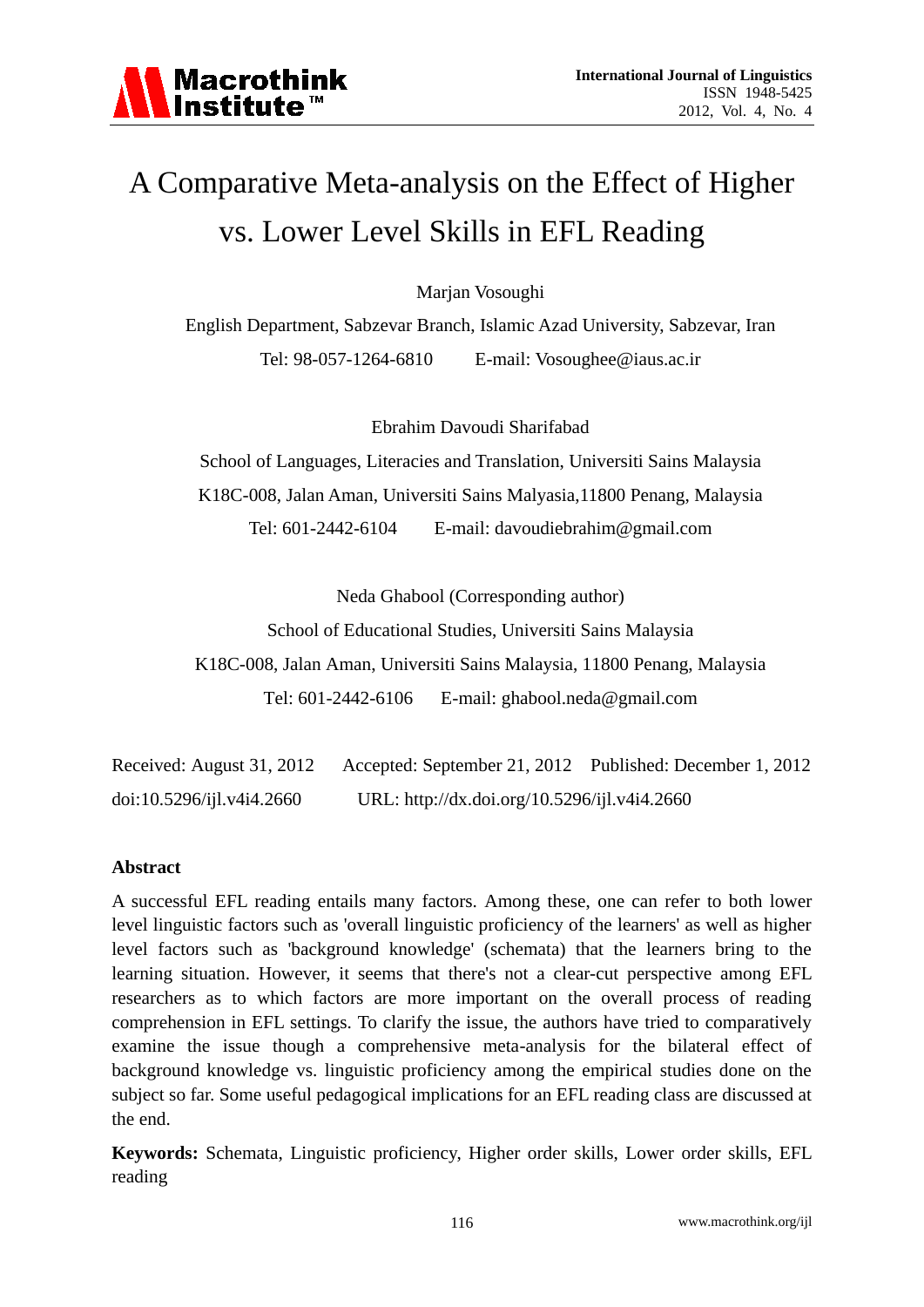# A Comparative Meta-analysis on the Effect of Higher vs. Lower Level Skills in EFL Reading

Marjan Vosoughi

English Department, Sabzevar Branch, Islamic Azad University, Sabzevar, Iran Tel: 98-057-1264-6810 E-mail: [Vosoughee@iaus.ac.ir](mailto:Vosoughee@iaus.ac.ir)

Ebrahim Davoudi Sharifabad

School of Languages, Literacies and Translation, Universiti Sains Malaysia K18C-008, Jalan Aman, Universiti Sains Malyasia,11800 Penang, Malaysia Tel: 601-2442-6104 E-mail: davoudiebrahim@gmail.com

Neda Ghabool (Corresponding author)

School of Educational Studies, Universiti Sains Malaysia K18C-008, Jalan Aman, Universiti Sains Malaysia, 11800 Penang, Malaysia Tel: 601-2442-6106 E-mail: [ghabool.neda@gmail.com](mailto:ghabool.neda@gmail.com)

Received: August 31, 2012 Accepted: September 21, 2012 Published: December 1, 2012 doi:10.5296/ijl.v4i4.2660 URL: http://dx.doi.org/10.5296/ijl.v4i4.2660

# **Abstract**

A successful EFL reading entails many factors. Among these, one can refer to both lower level linguistic factors such as 'overall linguistic proficiency of the learners' as well as higher level factors such as 'background knowledge' (schemata) that the learners bring to the learning situation. However, it seems that there's not a clear-cut perspective among EFL researchers as to which factors are more important on the overall process of reading comprehension in EFL settings. To clarify the issue, the authors have tried to comparatively examine the issue though a comprehensive meta-analysis for the bilateral effect of background knowledge vs. linguistic proficiency among the empirical studies done on the subject so far. Some useful pedagogical implications for an EFL reading class are discussed at the end.

**Keywords:** Schemata, Linguistic proficiency, Higher order skills, Lower order skills, EFL reading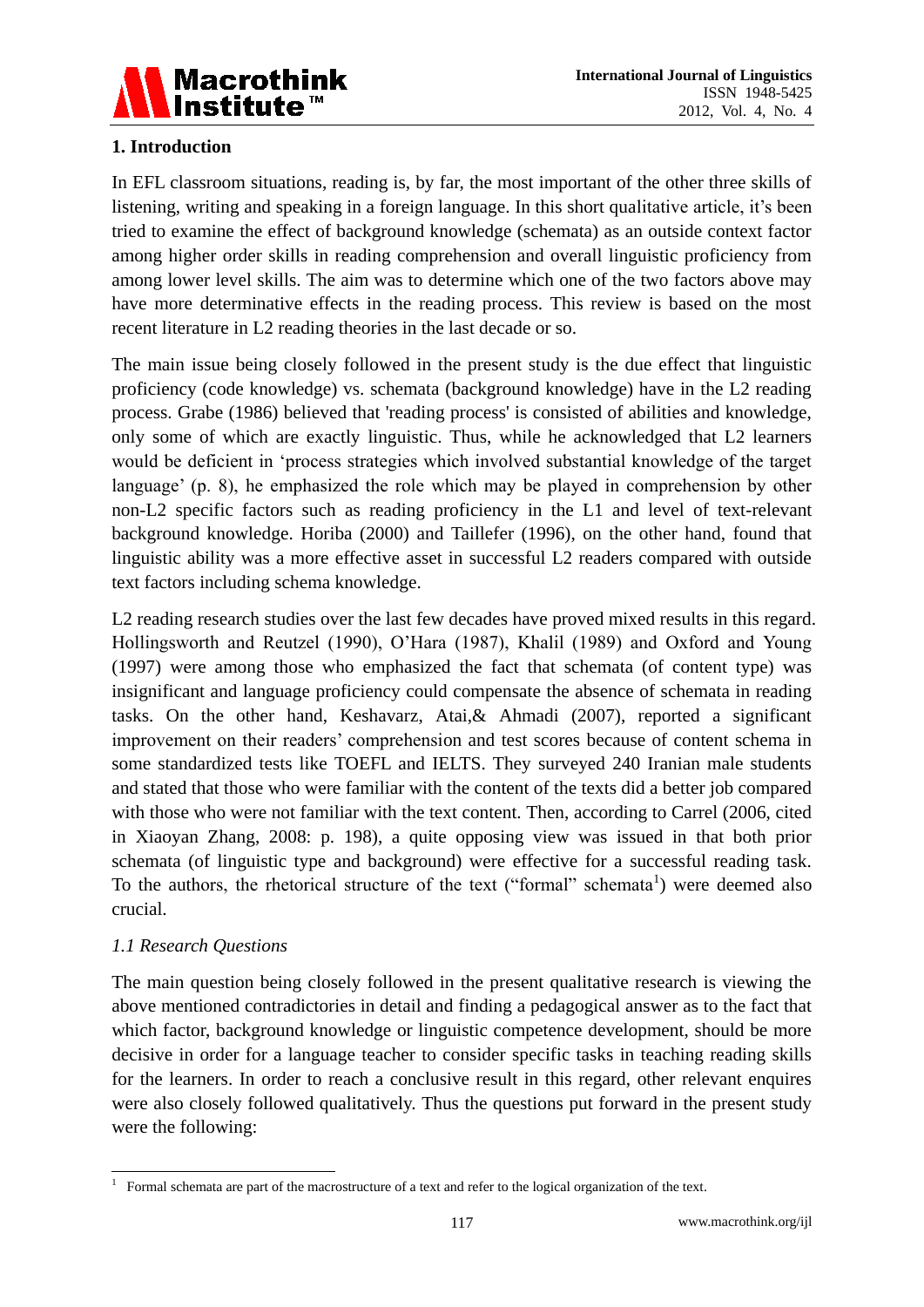

# **1. Introduction**

In EFL classroom situations, reading is, by far, the most important of the other three skills of listening, writing and speaking in a foreign language. In this short qualitative article, it's been tried to examine the effect of background knowledge (schemata) as an outside context factor among higher order skills in reading comprehension and overall linguistic proficiency from among lower level skills. The aim was to determine which one of the two factors above may have more determinative effects in the reading process. This review is based on the most recent literature in L2 reading theories in the last decade or so.

The main issue being closely followed in the present study is the due effect that linguistic proficiency (code knowledge) vs. schemata (background knowledge) have in the L2 reading process. Grabe (1986) believed that 'reading process' is consisted of abilities and knowledge, only some of which are exactly linguistic. Thus, while he acknowledged that L2 learners would be deficient in "process strategies which involved substantial knowledge of the target language' (p. 8), he emphasized the role which may be played in comprehension by other non-L2 specific factors such as reading proficiency in the L1 and level of text-relevant background knowledge. Horiba (2000) and Taillefer (1996), on the other hand, found that linguistic ability was a more effective asset in successful L2 readers compared with outside text factors including schema knowledge.

L2 reading research studies over the last few decades have proved mixed results in this regard. Hollingsworth and Reutzel (1990), O"Hara (1987), Khalil (1989) and Oxford and Young (1997) were among those who emphasized the fact that schemata (of content type) was insignificant and language proficiency could compensate the absence of schemata in reading tasks. On the other hand, Keshavarz, Atai,& Ahmadi (2007), reported a significant improvement on their readers" comprehension and test scores because of content schema in some standardized tests like TOEFL and IELTS. They surveyed 240 Iranian male students and stated that those who were familiar with the content of the texts did a better job compared with those who were not familiar with the text content. Then, according to Carrel (2006, cited in Xiaoyan Zhang, 2008: p. 198), a quite opposing view was issued in that both prior schemata (of linguistic type and background) were effective for a successful reading task. To the authors, the rhetorical structure of the text ("formal" schemata<sup>1</sup>) were deemed also crucial.

# *1.1 Research Questions*

The main question being closely followed in the present qualitative research is viewing the above mentioned contradictories in detail and finding a pedagogical answer as to the fact that which factor, background knowledge or linguistic competence development, should be more decisive in order for a language teacher to consider specific tasks in teaching reading skills for the learners. In order to reach a conclusive result in this regard, other relevant enquires were also closely followed qualitatively. Thus the questions put forward in the present study were the following:

The set of the matrix of the macrostructure of a text and refer to the logical organization of the text.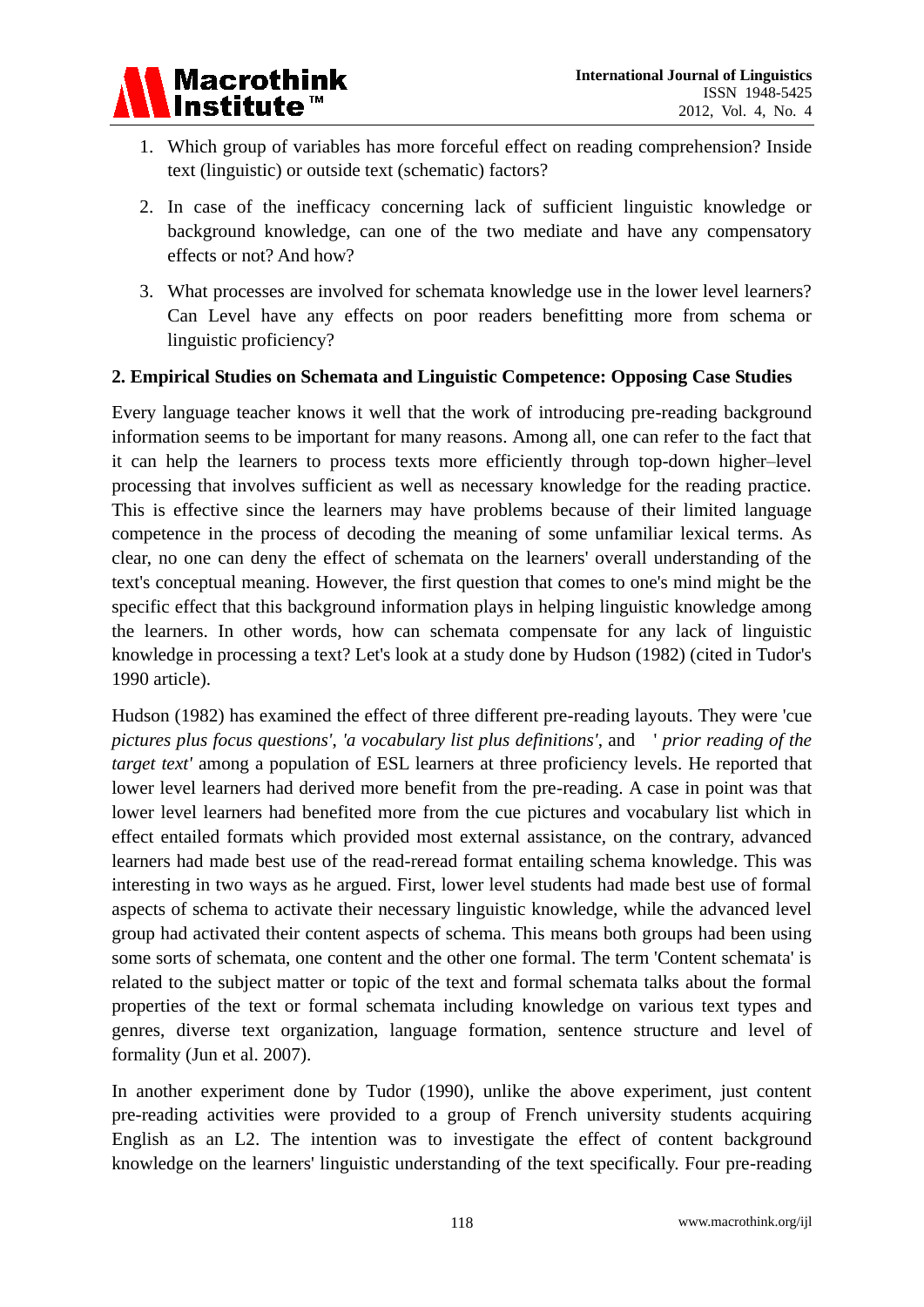

- 1. Which group of variables has more forceful effect on reading comprehension? Inside text (linguistic) or outside text (schematic) factors?
- 2. In case of the inefficacy concerning lack of sufficient linguistic knowledge or background knowledge, can one of the two mediate and have any compensatory effects or not? And how?
- 3. What processes are involved for schemata knowledge use in the lower level learners? Can Level have any effects on poor readers benefitting more from schema or linguistic proficiency?

# **2. Empirical Studies on Schemata and Linguistic Competence: Opposing Case Studies**

Every language teacher knows it well that the work of introducing pre-reading background information seems to be important for many reasons. Among all, one can refer to the fact that it can help the learners to process texts more efficiently through top-down higher–level processing that involves sufficient as well as necessary knowledge for the reading practice. This is effective since the learners may have problems because of their limited language competence in the process of decoding the meaning of some unfamiliar lexical terms. As clear, no one can deny the effect of schemata on the learners' overall understanding of the text's conceptual meaning. However, the first question that comes to one's mind might be the specific effect that this background information plays in helping linguistic knowledge among the learners. In other words, how can schemata compensate for any lack of linguistic knowledge in processing a text? Let's look at a study done by Hudson (1982) (cited in Tudor's 1990 article).

Hudson (1982) has examined the effect of three different pre-reading layouts. They were 'cue *pictures plus focus questions'*, *'a vocabulary list plus definitions'*, and ' *prior reading of the target text'* among a population of ESL learners at three proficiency levels. He reported that lower level learners had derived more benefit from the pre-reading. A case in point was that lower level learners had benefited more from the cue pictures and vocabulary list which in effect entailed formats which provided most external assistance, on the contrary, advanced learners had made best use of the read-reread format entailing schema knowledge. This was interesting in two ways as he argued. First, lower level students had made best use of formal aspects of schema to activate their necessary linguistic knowledge, while the advanced level group had activated their content aspects of schema. This means both groups had been using some sorts of schemata, one content and the other one formal. The term 'Content schemata' is related to the subject matter or topic of the text and formal schemata talks about the formal properties of the text or formal schemata including knowledge on various text types and genres, diverse text organization, language formation, sentence structure and level of formality (Jun et al. 2007).

In another experiment done by Tudor (1990), unlike the above experiment, just content pre-reading activities were provided to a group of French university students acquiring English as an L2. The intention was to investigate the effect of content background knowledge on the learners' linguistic understanding of the text specifically. Four pre-reading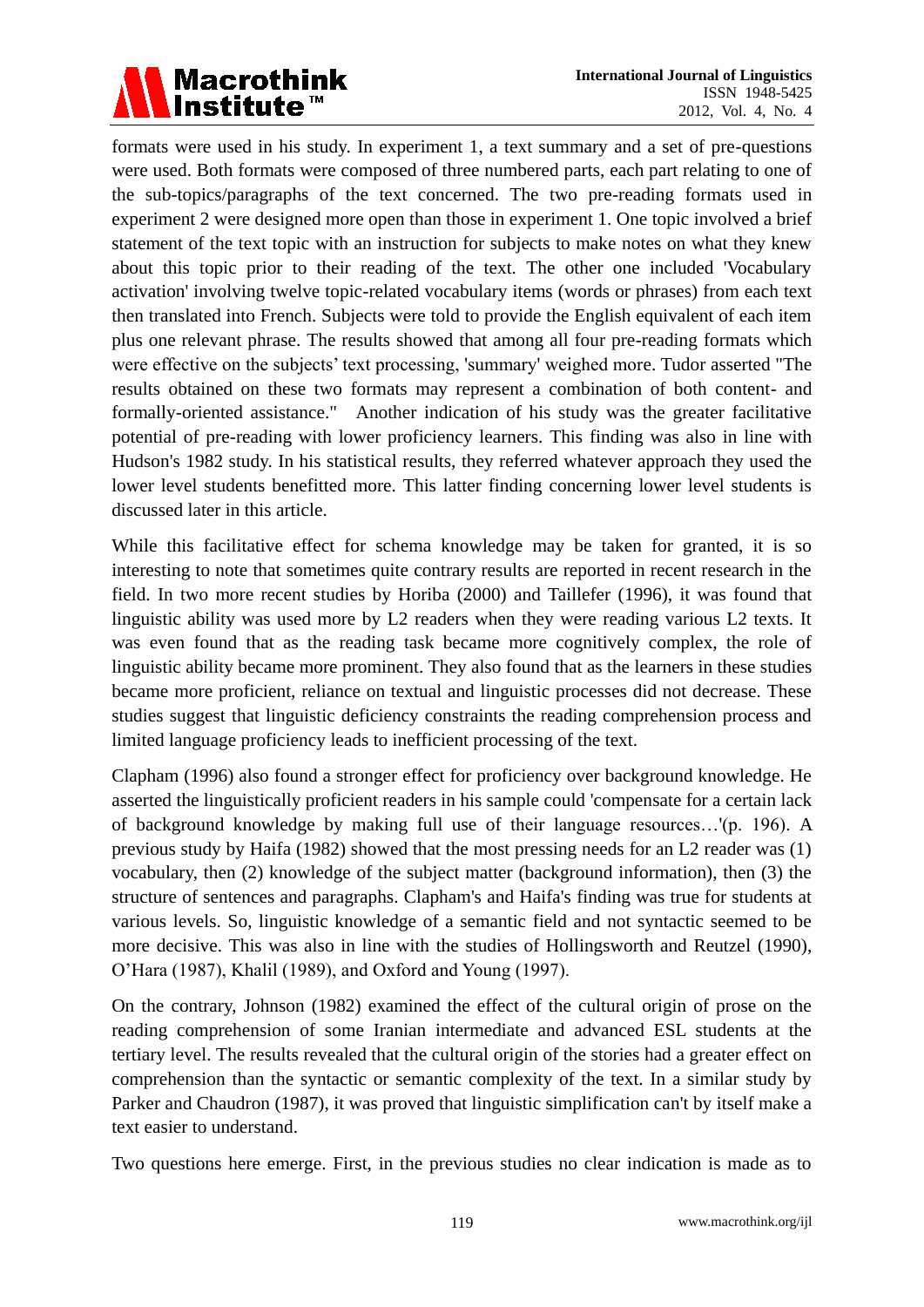

formats were used in his study. In experiment 1, a text summary and a set of pre-questions were used. Both formats were composed of three numbered parts, each part relating to one of the sub-topics/paragraphs of the text concerned. The two pre-reading formats used in experiment 2 were designed more open than those in experiment 1. One topic involved a brief statement of the text topic with an instruction for subjects to make notes on what they knew about this topic prior to their reading of the text. The other one included 'Vocabulary activation' involving twelve topic-related vocabulary items (words or phrases) from each text then translated into French. Subjects were told to provide the English equivalent of each item plus one relevant phrase. The results showed that among all four pre-reading formats which were effective on the subjects' text processing, 'summary' weighed more. Tudor asserted "The results obtained on these two formats may represent a combination of both content- and formally-oriented assistance." Another indication of his study was the greater facilitative potential of pre-reading with lower proficiency learners. This finding was also in line with Hudson's 1982 study. In his statistical results, they referred whatever approach they used the lower level students benefitted more. This latter finding concerning lower level students is discussed later in this article.

While this facilitative effect for schema knowledge may be taken for granted, it is so interesting to note that sometimes quite contrary results are reported in recent research in the field. In two more recent studies by Horiba (2000) and Taillefer (1996), it was found that linguistic ability was used more by L2 readers when they were reading various L2 texts. It was even found that as the reading task became more cognitively complex, the role of linguistic ability became more prominent. They also found that as the learners in these studies became more proficient, reliance on textual and linguistic processes did not decrease. These studies suggest that linguistic deficiency constraints the reading comprehension process and limited language proficiency leads to inefficient processing of the text.

Clapham (1996) also found a stronger effect for proficiency over background knowledge. He asserted the linguistically proficient readers in his sample could 'compensate for a certain lack of background knowledge by making full use of their language resources…'(p. 196). A previous study by Haifa (1982) showed that the most pressing needs for an L2 reader was (1) vocabulary, then (2) knowledge of the subject matter (background information), then (3) the structure of sentences and paragraphs. Clapham's and Haifa's finding was true for students at various levels. So, linguistic knowledge of a semantic field and not syntactic seemed to be more decisive. This was also in line with the studies of Hollingsworth and Reutzel (1990), O"Hara (1987), Khalil (1989), and Oxford and Young (1997).

On the contrary, Johnson (1982) examined the effect of the cultural origin of prose on the reading comprehension of some Iranian intermediate and advanced ESL students at the tertiary level. The results revealed that the cultural origin of the stories had a greater effect on comprehension than the syntactic or semantic complexity of the text. In a similar study by Parker and Chaudron (1987), it was proved that linguistic simplification can't by itself make a text easier to understand.

Two questions here emerge. First, in the previous studies no clear indication is made as to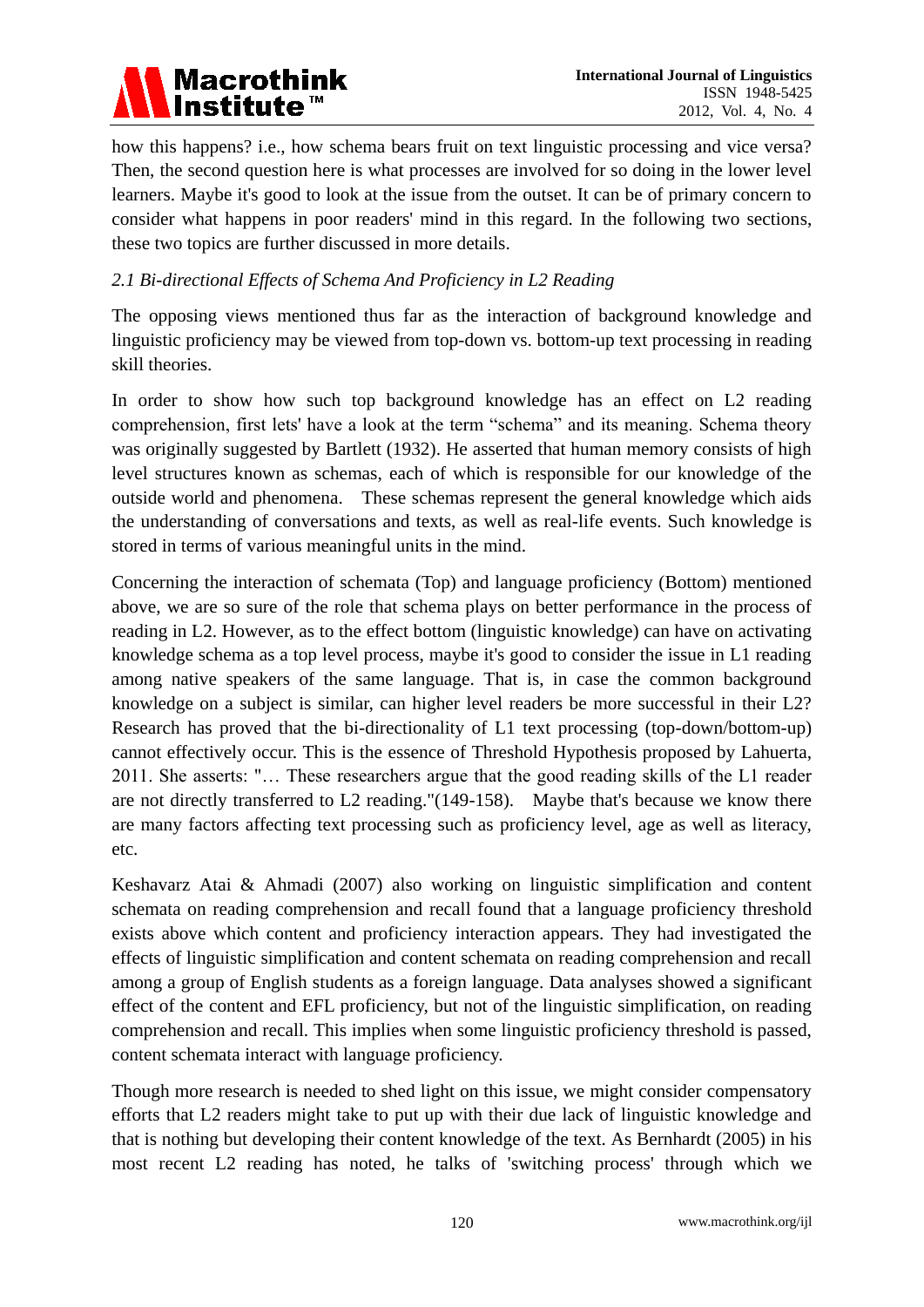

how this happens? i.e., how schema bears fruit on text linguistic processing and vice versa? Then, the second question here is what processes are involved for so doing in the lower level learners. Maybe it's good to look at the issue from the outset. It can be of primary concern to consider what happens in poor readers' mind in this regard. In the following two sections, these two topics are further discussed in more details.

# *2.1 Bi-directional Effects of Schema And Proficiency in L2 Reading*

The opposing views mentioned thus far as the interaction of background knowledge and linguistic proficiency may be viewed from top-down vs. bottom-up text processing in reading skill theories.

In order to show how such top background knowledge has an effect on L2 reading comprehension, first lets' have a look at the term "schema" and its meaning. Schema theory was originally suggested by Bartlett (1932). He asserted that human memory consists of high level structures known as schemas, each of which is responsible for our knowledge of the outside world and phenomena. These schemas represent the general knowledge which aids the understanding of conversations and texts, as well as real-life events. Such knowledge is stored in terms of various meaningful units in the mind.

Concerning the interaction of schemata (Top) and language proficiency (Bottom) mentioned above, we are so sure of the role that schema plays on better performance in the process of reading in L2. However, as to the effect bottom (linguistic knowledge) can have on activating knowledge schema as a top level process, maybe it's good to consider the issue in L1 reading among native speakers of the same language. That is, in case the common background knowledge on a subject is similar, can higher level readers be more successful in their L2? Research has proved that the bi-directionality of L1 text processing (top-down/bottom-up) cannot effectively occur. This is the essence of Threshold Hypothesis proposed by Lahuerta, 2011. She asserts: "… These researchers argue that the good reading skills of the L1 reader are not directly transferred to L2 reading."(149-158). Maybe that's because we know there are many factors affecting text processing such as proficiency level, age as well as literacy, etc.

Keshavarz Atai & Ahmadi (2007) also working on linguistic simplification and content schemata on reading comprehension and recall found that a language proficiency threshold exists above which content and proficiency interaction appears. They had investigated the effects of linguistic simplification and content schemata on reading comprehension and recall among a group of English students as a foreign language. Data analyses showed a significant effect of the content and EFL proficiency, but not of the linguistic simplification, on reading comprehension and recall. This implies when some linguistic proficiency threshold is passed, content schemata interact with language proficiency.

Though more research is needed to shed light on this issue, we might consider compensatory efforts that L2 readers might take to put up with their due lack of linguistic knowledge and that is nothing but developing their content knowledge of the text. As Bernhardt (2005) in his most recent L2 reading has noted, he talks of 'switching process' through which we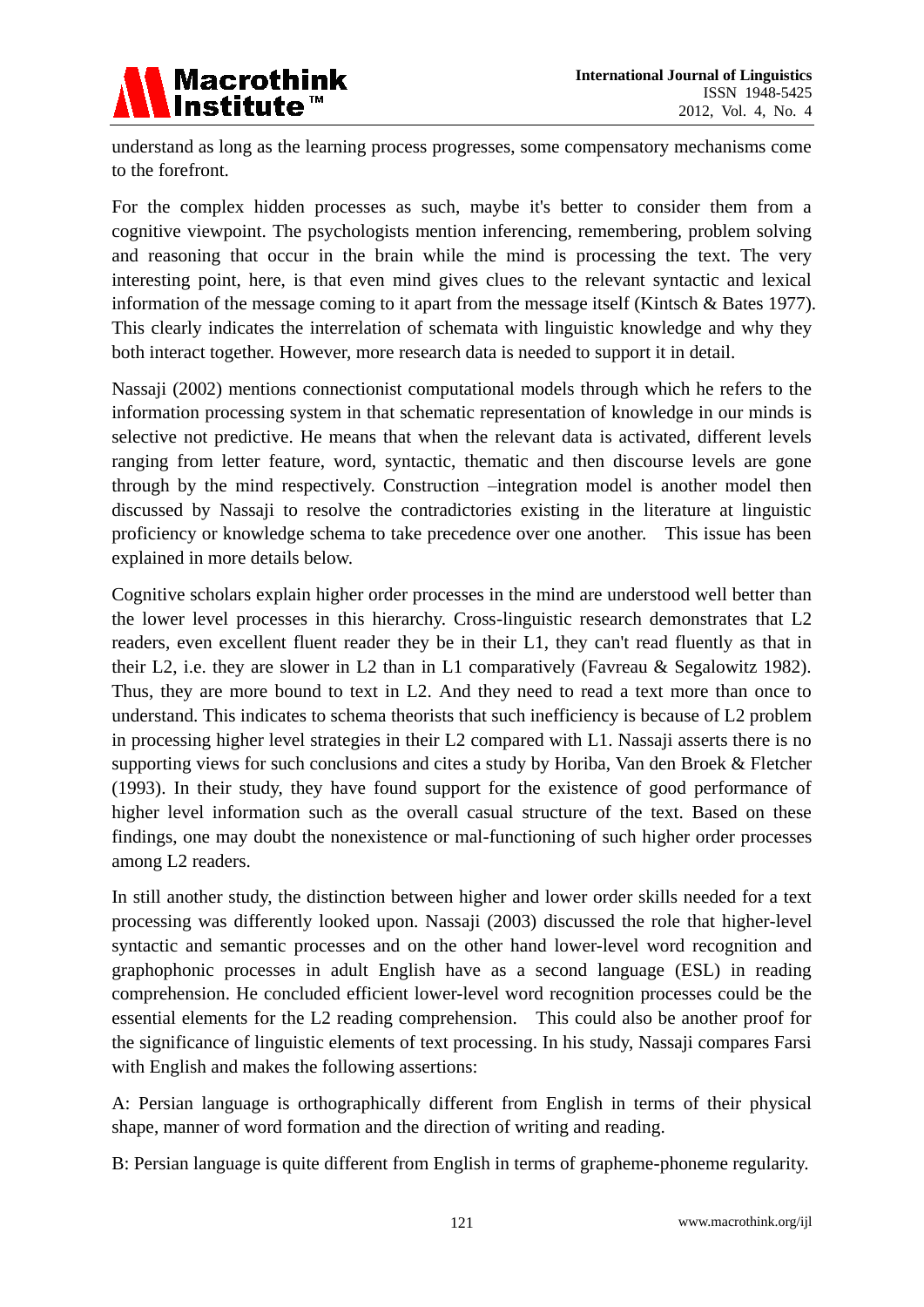

understand as long as the learning process progresses, some compensatory mechanisms come to the forefront.

For the complex hidden processes as such, maybe it's better to consider them from a cognitive viewpoint. The psychologists mention inferencing, remembering, problem solving and reasoning that occur in the brain while the mind is processing the text. The very interesting point, here, is that even mind gives clues to the relevant syntactic and lexical information of the message coming to it apart from the message itself (Kintsch & Bates 1977). This clearly indicates the interrelation of schemata with linguistic knowledge and why they both interact together. However, more research data is needed to support it in detail.

Nassaji (2002) mentions connectionist computational models through which he refers to the information processing system in that schematic representation of knowledge in our minds is selective not predictive. He means that when the relevant data is activated, different levels ranging from letter feature, word, syntactic, thematic and then discourse levels are gone through by the mind respectively. Construction –integration model is another model then discussed by Nassaji to resolve the contradictories existing in the literature at linguistic proficiency or knowledge schema to take precedence over one another. This issue has been explained in more details below.

Cognitive scholars explain higher order processes in the mind are understood well better than the lower level processes in this hierarchy. Cross-linguistic research demonstrates that L2 readers, even excellent fluent reader they be in their L1, they can't read fluently as that in their L2, i.e. they are slower in L2 than in L1 comparatively (Favreau & Segalowitz 1982). Thus, they are more bound to text in L2. And they need to read a text more than once to understand. This indicates to schema theorists that such inefficiency is because of L2 problem in processing higher level strategies in their L2 compared with L1. Nassaji asserts there is no supporting views for such conclusions and cites a study by Horiba, Van den Broek & Fletcher (1993). In their study, they have found support for the existence of good performance of higher level information such as the overall casual structure of the text. Based on these findings, one may doubt the nonexistence or mal-functioning of such higher order processes among L2 readers.

In still another study, the distinction between higher and lower order skills needed for a text processing was differently looked upon. Nassaji (2003) discussed the role that higher-level syntactic and semantic processes and on the other hand lower-level word recognition and graphophonic processes in adult English have as a second language (ESL) in reading comprehension. He concluded efficient lower-level word recognition processes could be the essential elements for the L2 reading comprehension. This could also be another proof for the significance of linguistic elements of text processing. In his study, Nassaji compares Farsi with English and makes the following assertions:

A: Persian language is orthographically different from English in terms of their physical shape, manner of word formation and the direction of writing and reading.

B: Persian language is quite different from English in terms of grapheme-phoneme regularity.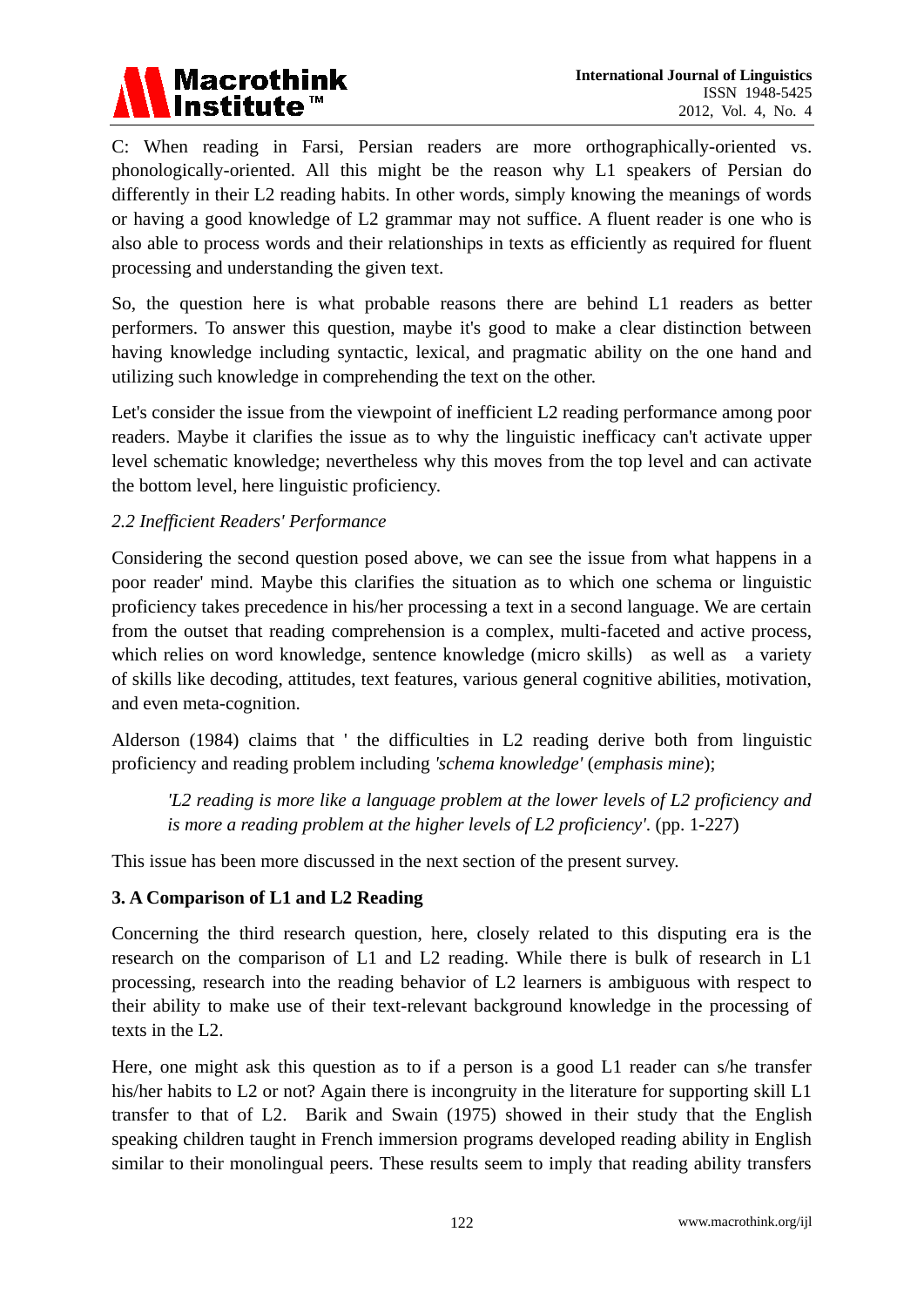

C: When reading in Farsi, Persian readers are more orthographically-oriented vs. phonologically-oriented. All this might be the reason why L1 speakers of Persian do differently in their L2 reading habits. In other words, simply knowing the meanings of words or having a good knowledge of L2 grammar may not suffice. A fluent reader is one who is also able to process words and their relationships in texts as efficiently as required for fluent processing and understanding the given text.

So, the question here is what probable reasons there are behind L1 readers as better performers. To answer this question, maybe it's good to make a clear distinction between having knowledge including syntactic, lexical, and pragmatic ability on the one hand and utilizing such knowledge in comprehending the text on the other.

Let's consider the issue from the viewpoint of inefficient L2 reading performance among poor readers. Maybe it clarifies the issue as to why the linguistic inefficacy can't activate upper level schematic knowledge; nevertheless why this moves from the top level and can activate the bottom level, here linguistic proficiency.

# *2.2 Inefficient Readers' Performance*

Considering the second question posed above, we can see the issue from what happens in a poor reader' mind. Maybe this clarifies the situation as to which one schema or linguistic proficiency takes precedence in his/her processing a text in a second language. We are certain from the outset that reading comprehension is a complex, multi-faceted and active process, which relies on word knowledge, sentence knowledge (micro skills) as well as a variety of skills like decoding, attitudes, text features, various general cognitive abilities, motivation, and even meta-cognition.

Alderson (1984) claims that ' the difficulties in L2 reading derive both from linguistic proficiency and reading problem including *'schema knowledge'* (*emphasis mine*);

*'L2 reading is more like a language problem at the lower levels of L2 proficiency and is more a reading problem at the higher levels of L2 proficiency'*. (pp. 1-227)

This issue has been more discussed in the next section of the present survey.

# **3. A Comparison of L1 and L2 Reading**

Concerning the third research question, here, closely related to this disputing era is the research on the comparison of L1 and L2 reading. While there is bulk of research in L1 processing, research into the reading behavior of L2 learners is ambiguous with respect to their ability to make use of their text-relevant background knowledge in the processing of texts in the L2.

Here, one might ask this question as to if a person is a good L1 reader can s/he transfer his/her habits to L2 or not? Again there is incongruity in the literature for supporting skill L1 transfer to that of L2. Barik and Swain (1975) showed in their study that the English speaking children taught in French immersion programs developed reading ability in English similar to their monolingual peers. These results seem to imply that reading ability transfers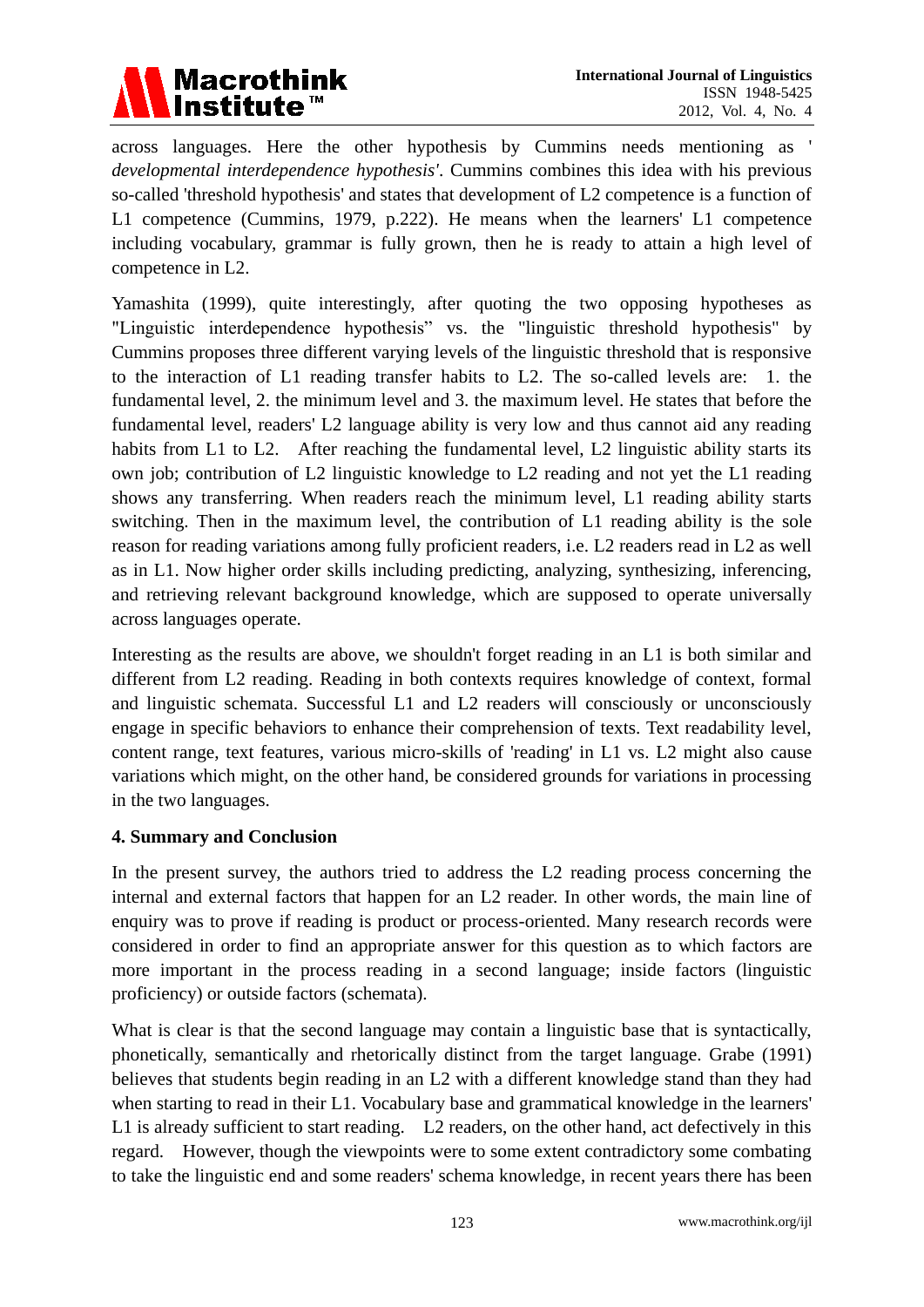

across languages. Here the other hypothesis by Cummins needs mentioning as ' *developmental interdependence hypothesis'*. Cummins combines this idea with his previous so-called 'threshold hypothesis' and states that development of L2 competence is a function of L1 competence (Cummins, 1979, p.222). He means when the learners' L1 competence including vocabulary, grammar is fully grown, then he is ready to attain a high level of competence in L2.

Yamashita (1999), quite interestingly, after quoting the two opposing hypotheses as "Linguistic interdependence hypothesis" vs. the "linguistic threshold hypothesis" by Cummins proposes three different varying levels of the linguistic threshold that is responsive to the interaction of L1 reading transfer habits to L2. The so-called levels are: 1. the fundamental level, 2. the minimum level and 3. the maximum level. He states that before the fundamental level, readers' L2 language ability is very low and thus cannot aid any reading habits from L1 to L2. After reaching the fundamental level, L2 linguistic ability starts its own job; contribution of L2 linguistic knowledge to L2 reading and not yet the L1 reading shows any transferring. When readers reach the minimum level, L1 reading ability starts switching. Then in the maximum level, the contribution of L1 reading ability is the sole reason for reading variations among fully proficient readers, i.e. L2 readers read in L2 as well as in L1. Now higher order skills including predicting, analyzing, synthesizing, inferencing, and retrieving relevant background knowledge, which are supposed to operate universally across languages operate.

Interesting as the results are above, we shouldn't forget reading in an L1 is both similar and different from L2 reading. Reading in both contexts requires knowledge of context, formal and linguistic schemata. Successful L1 and L2 readers will consciously or unconsciously engage in specific behaviors to enhance their comprehension of texts. Text readability level, content range, text features, various micro-skills of 'reading' in L1 vs. L2 might also cause variations which might, on the other hand, be considered grounds for variations in processing in the two languages.

#### **4. Summary and Conclusion**

In the present survey, the authors tried to address the L2 reading process concerning the internal and external factors that happen for an L2 reader. In other words, the main line of enquiry was to prove if reading is product or process-oriented. Many research records were considered in order to find an appropriate answer for this question as to which factors are more important in the process reading in a second language; inside factors (linguistic proficiency) or outside factors (schemata).

What is clear is that the second language may contain a linguistic base that is syntactically, phonetically, semantically and rhetorically distinct from the target language. Grabe (1991) believes that students begin reading in an L2 with a different knowledge stand than they had when starting to read in their L1. Vocabulary base and grammatical knowledge in the learners' L1 is already sufficient to start reading. L2 readers, on the other hand, act defectively in this regard. However, though the viewpoints were to some extent contradictory some combating to take the linguistic end and some readers' schema knowledge, in recent years there has been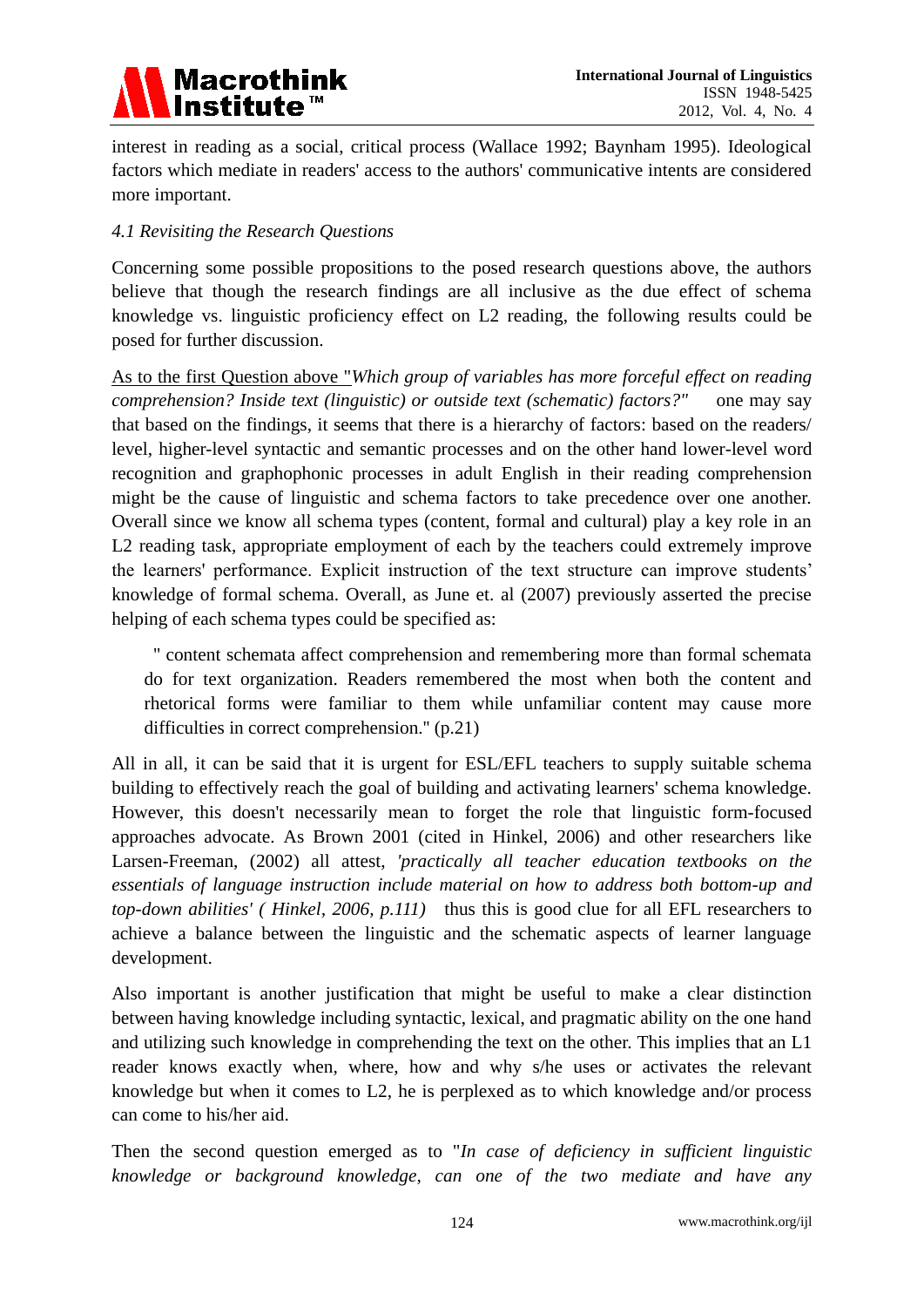

interest in reading as a social, critical process (Wallace 1992; Baynham 1995). Ideological factors which mediate in readers' access to the authors' communicative intents are considered more important.

# *4.1 Revisiting the Research Questions*

Concerning some possible propositions to the posed research questions above, the authors believe that though the research findings are all inclusive as the due effect of schema knowledge vs. linguistic proficiency effect on L2 reading, the following results could be posed for further discussion.

As to the first Question above "*Which group of variables has more forceful effect on reading comprehension? Inside text (linguistic) or outside text (schematic) factors?"* one may say that based on the findings, it seems that there is a hierarchy of factors: based on the readers/ level, higher-level syntactic and semantic processes and on the other hand lower-level word recognition and graphophonic processes in adult English in their reading comprehension might be the cause of linguistic and schema factors to take precedence over one another. Overall since we know all schema types (content, formal and cultural) play a key role in an L2 reading task, appropriate employment of each by the teachers could extremely improve the learners' performance. Explicit instruction of the text structure can improve students" knowledge of formal schema. Overall, as June et. al (2007) previously asserted the precise helping of each schema types could be specified as:

'' content schemata affect comprehension and remembering more than formal schemata do for text organization. Readers remembered the most when both the content and rhetorical forms were familiar to them while unfamiliar content may cause more difficulties in correct comprehension.'' (p.21)

All in all, it can be said that it is urgent for ESL/EFL teachers to supply suitable schema building to effectively reach the goal of building and activating learners' schema knowledge. However, this doesn't necessarily mean to forget the role that linguistic form-focused approaches advocate. As Brown 2001 (cited in Hinkel, 2006) and other researchers like Larsen-Freeman, (2002) all attest, *'practically all teacher education textbooks on the essentials of language instruction include material on how to address both bottom-up and top-down abilities' ( Hinkel, 2006, p.111)* thus this is good clue for all EFL researchers to achieve a balance between the linguistic and the schematic aspects of learner language development.

Also important is another justification that might be useful to make a clear distinction between having knowledge including syntactic, lexical, and pragmatic ability on the one hand and utilizing such knowledge in comprehending the text on the other. This implies that an L1 reader knows exactly when, where, how and why s/he uses or activates the relevant knowledge but when it comes to L2, he is perplexed as to which knowledge and/or process can come to his/her aid.

Then the second question emerged as to "*In case of deficiency in sufficient linguistic knowledge or background knowledge, can one of the two mediate and have any*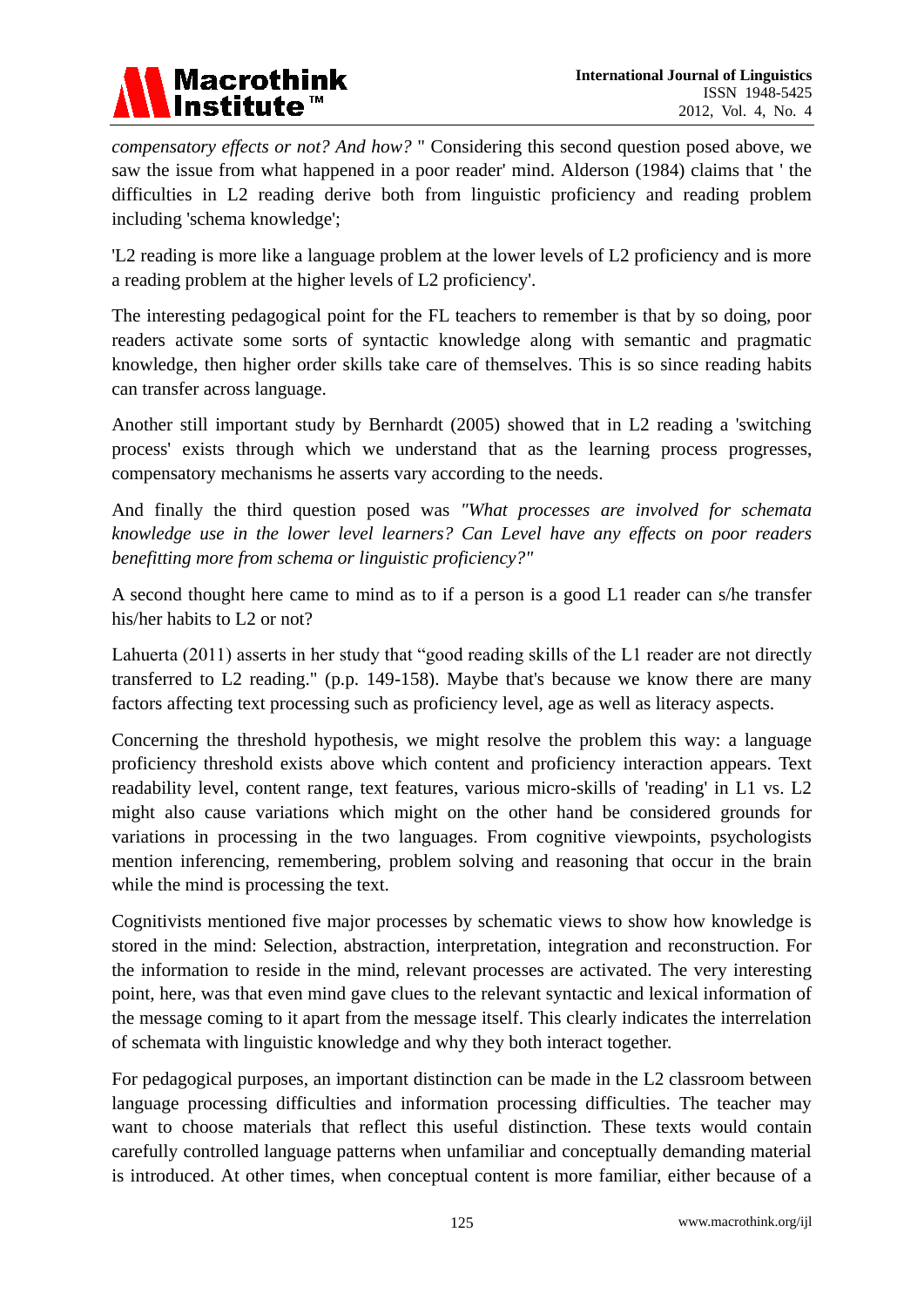

*compensatory effects or not? And how?* " Considering this second question posed above, we saw the issue from what happened in a poor reader' mind. Alderson (1984) claims that ' the difficulties in L2 reading derive both from linguistic proficiency and reading problem including 'schema knowledge';

'L2 reading is more like a language problem at the lower levels of L2 proficiency and is more a reading problem at the higher levels of L2 proficiency'.

The interesting pedagogical point for the FL teachers to remember is that by so doing, poor readers activate some sorts of syntactic knowledge along with semantic and pragmatic knowledge, then higher order skills take care of themselves. This is so since reading habits can transfer across language.

Another still important study by Bernhardt (2005) showed that in L2 reading a 'switching process' exists through which we understand that as the learning process progresses, compensatory mechanisms he asserts vary according to the needs.

And finally the third question posed was *"What processes are involved for schemata knowledge use in the lower level learners? Can Level have any effects on poor readers benefitting more from schema or linguistic proficiency?"*

A second thought here came to mind as to if a person is a good L1 reader can s/he transfer his/her habits to L2 or not?

Lahuerta (2011) asserts in her study that "good reading skills of the L1 reader are not directly transferred to L2 reading." (p.p. 149-158). Maybe that's because we know there are many factors affecting text processing such as proficiency level, age as well as literacy aspects.

Concerning the threshold hypothesis, we might resolve the problem this way: a language proficiency threshold exists above which content and proficiency interaction appears. Text readability level, content range, text features, various micro-skills of 'reading' in L1 vs. L2 might also cause variations which might on the other hand be considered grounds for variations in processing in the two languages. From cognitive viewpoints, psychologists mention inferencing, remembering, problem solving and reasoning that occur in the brain while the mind is processing the text.

Cognitivists mentioned five major processes by schematic views to show how knowledge is stored in the mind: Selection, abstraction, interpretation, integration and reconstruction. For the information to reside in the mind, relevant processes are activated. The very interesting point, here, was that even mind gave clues to the relevant syntactic and lexical information of the message coming to it apart from the message itself. This clearly indicates the interrelation of schemata with linguistic knowledge and why they both interact together.

For pedagogical purposes, an important distinction can be made in the L2 classroom between language processing difficulties and information processing difficulties. The teacher may want to choose materials that reflect this useful distinction. These texts would contain carefully controlled language patterns when unfamiliar and conceptually demanding material is introduced. At other times, when conceptual content is more familiar, either because of a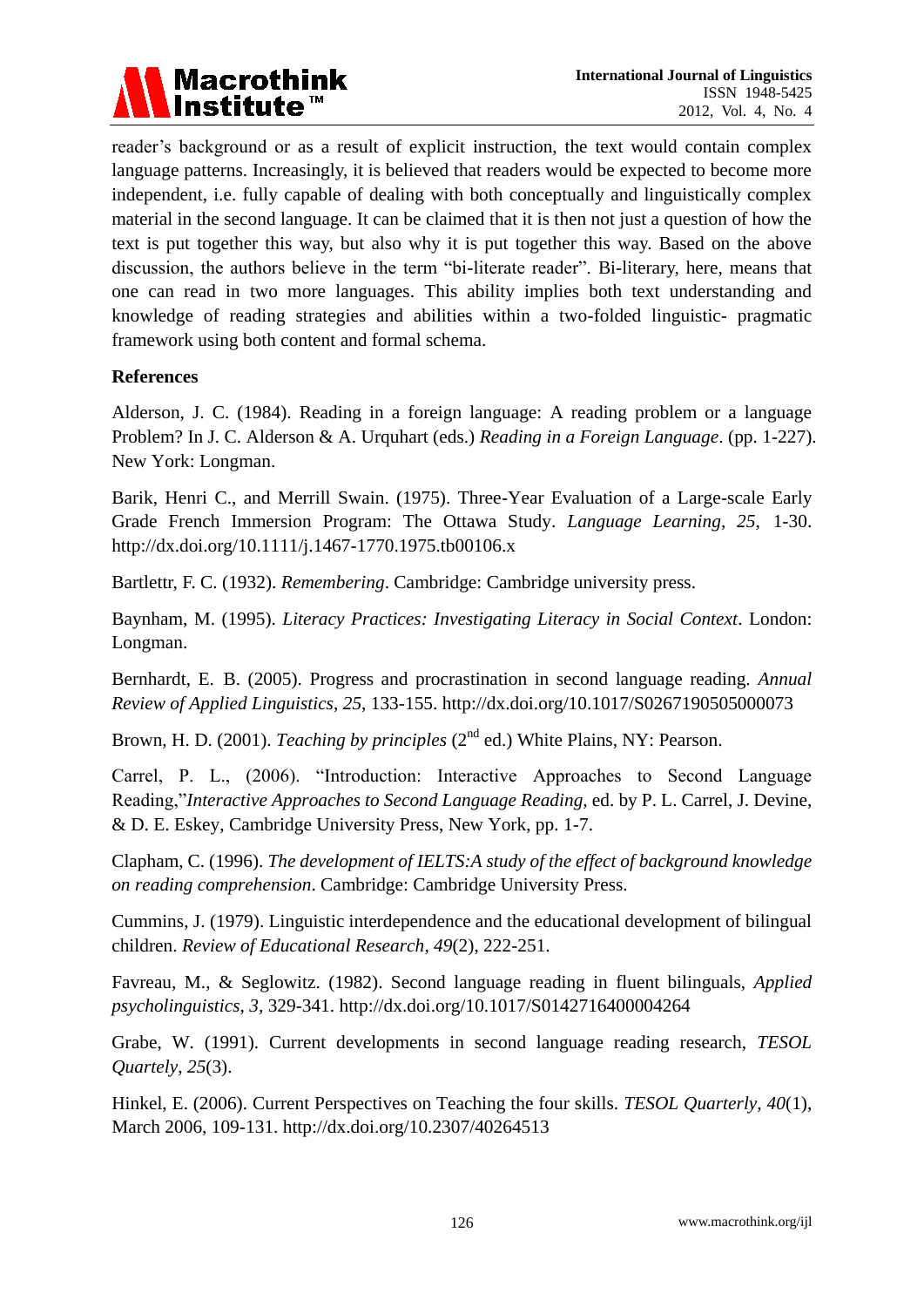

reader"s background or as a result of explicit instruction, the text would contain complex language patterns. Increasingly, it is believed that readers would be expected to become more independent, i.e. fully capable of dealing with both conceptually and linguistically complex material in the second language. It can be claimed that it is then not just a question of how the text is put together this way, but also why it is put together this way. Based on the above discussion, the authors believe in the term "bi-literate reader". Bi-literary, here, means that one can read in two more languages. This ability implies both text understanding and knowledge of reading strategies and abilities within a two-folded linguistic- pragmatic framework using both content and formal schema.

#### **References**

Alderson, J. C. (1984). Reading in a foreign language: A reading problem or a language Problem? In J. C. Alderson & A. Urquhart (eds.) *Reading in a Foreign Language*. (pp. 1-227). New York: Longman.

Barik, Henri C., and Merrill Swain. (1975). Three-Year Evaluation of a Large-scale Early Grade French Immersion Program: The Ottawa Study. *Language Learning*, *25,* 1-30. http://dx.doi.org/10.1111/j.1467-1770.1975.tb00106.x

Bartlettr, F. C. (1932). *Remembering*. Cambridge: Cambridge university press.

Baynham, M. (1995). *Literacy Practices: Investigating Literacy in Social Context*. London: Longman.

Bernhardt, E. B. (2005). Progress and procrastination in second language reading. *Annual Review of Applied Linguistics*, *25*, 133-155. http://dx.doi.org/10.1017/S0267190505000073

Brown, H. D. (2001). *Teaching by principles* (2<sup>nd</sup> ed.) White Plains, NY: Pearson.

Carrel, P. L., (2006). "Introduction: Interactive Approaches to Second Language Reading,"*Interactive Approaches to Second Language Reading,* ed. by P. L. Carrel, J. Devine, & D. E. Eskey, Cambridge University Press, New York, pp. 1-7.

Clapham, C. (1996). *The development of IELTS:A study of the effect of background knowledge on reading comprehension*. Cambridge: Cambridge University Press.

Cummins, J. (1979). Linguistic interdependence and the educational development of bilingual children. *Review of Educational Research*, *49*(2), 222-251.

Favreau, M., & Seglowitz. (1982). Second language reading in fluent bilinguals, *Applied psycholinguistics*, *3,* 329-341. http://dx.doi.org/10.1017/S0142716400004264

Grabe, W. (1991). Current developments in second language reading research, *TESOL Quartely*, *25*(3).

Hinkel, E. (2006). Current Perspectives on Teaching the four skills. *TESOL Quarterly, 40*(1), March 2006, 109-131. http://dx.doi.org/10.2307/40264513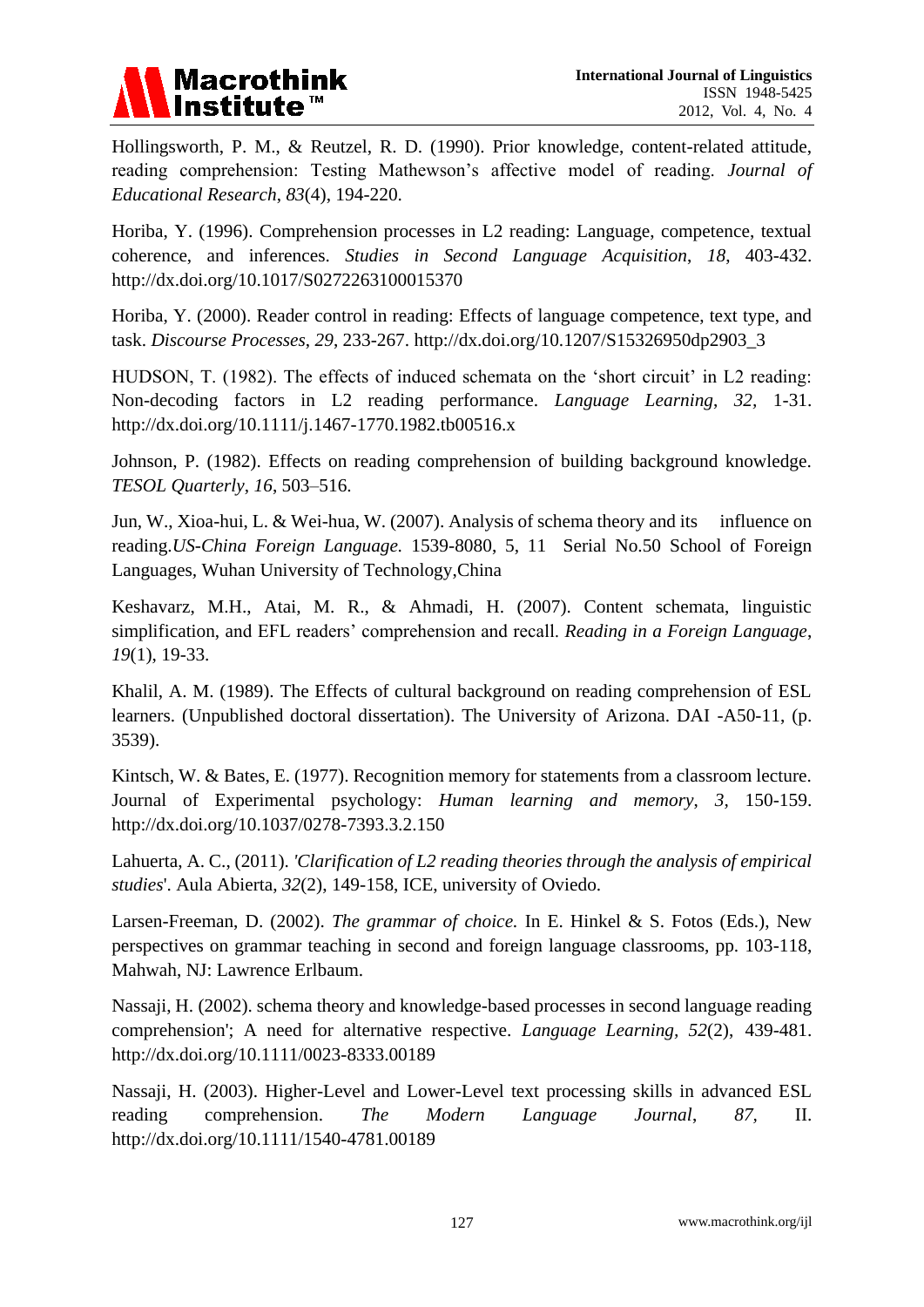

Hollingsworth, P. M., & Reutzel, R. D. (1990). Prior knowledge, content-related attitude, reading comprehension: Testing Mathewson"s affective model of reading. *Journal of Educational Research*, *83*(4), 194-220.

Horiba, Y. (1996). Comprehension processes in L2 reading: Language, competence, textual coherence, and inferences. *Studies in Second Language Acquisition*, *18*, 403-432. http://dx.doi.org/10.1017/S0272263100015370

Horiba, Y. (2000). Reader control in reading: Effects of language competence, text type, and task. *Discourse Processes*, *29*, 233-267. http://dx.doi.org/10.1207/S15326950dp2903\_3

HUDSON, T. (1982). The effects of induced schemata on the 'short circuit' in L2 reading: Non-decoding factors in L2 reading performance. *Language Learning*, *32,* 1-31. http://dx.doi.org/10.1111/j.1467-1770.1982.tb00516.x

Johnson, P. (1982). Effects on reading comprehension of building background knowledge. *TESOL Quarterly*, *16*, 503–516.

Jun, W., Xioa-hui, L. & Wei-hua, W. (2007). Analysis of schema theory and its influence on reading.*US-China Foreign Language.* 1539-8080, 5, 11 Serial No.50 School of Foreign Languages*,* Wuhan University of Technology,China

Keshavarz, M.H., Atai, M. R., & Ahmadi, H. (2007). Content schemata, linguistic simplification, and EFL readers" comprehension and recall. *Reading in a Foreign Language*, *19*(1), 19-33.

Khalil, A. M. (1989). The Effects of cultural background on reading comprehension of ESL learners. (Unpublished doctoral dissertation). The University of Arizona. DAI -A50-11, (p. 3539).

Kintsch, W. & Bates, E. (1977). Recognition memory for statements from a classroom lecture. Journal of Experimental psychology: *Human learning and memory*, *3,* 150-159. http://dx.doi.org/10.1037/0278-7393.3.2.150

Lahuerta, A. C., (2011). *'Clarification of L2 reading theories through the analysis of empirical studies*'. Aula Abierta, *32*(2), 149-158, ICE, university of Oviedo.

Larsen-Freeman, D. (2002). *The grammar of choice.* In E. Hinkel & S. Fotos (Eds.), New perspectives on grammar teaching in second and foreign language classrooms, pp. 103-118, Mahwah, NJ: Lawrence Erlbaum.

Nassaji, H. (2002). schema theory and knowledge-based processes in second language reading comprehension'; A need for alternative respective. *Language Learning, 52*(2), 439-481. http://dx.doi.org/10.1111/0023-8333.00189

Nassaji, H. (2003). Higher-Level and Lower-Level text processing skills in advanced ESL reading comprehension. *The Modern Language Journal*, *87,* II. http://dx.doi.org/10.1111/1540-4781.00189